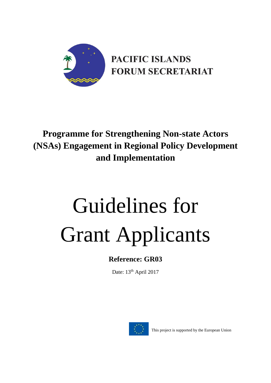

# **Programme for Strengthening Non-state Actors (NSAs) Engagement in Regional Policy Development and Implementation**

# Guidelines for Grant Applicants

# **Reference: GR03**

Date: 13<sup>th</sup> April 2017



This project is supported by the European Union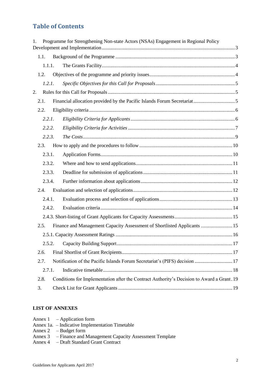# **Table of Contents**

| 1. |        |  | Programme for Strengthening Non-state Actors (NSAs) Engagement in Regional Policy          |  |
|----|--------|--|--------------------------------------------------------------------------------------------|--|
|    | 1.1.   |  |                                                                                            |  |
|    | 1.1.1. |  |                                                                                            |  |
|    | 1.2.   |  |                                                                                            |  |
|    | 1.2.1. |  |                                                                                            |  |
| 2. |        |  |                                                                                            |  |
|    | 2.1.   |  |                                                                                            |  |
|    | 2.2.   |  |                                                                                            |  |
|    | 2.2.1. |  |                                                                                            |  |
|    | 2.2.2. |  |                                                                                            |  |
|    | 2.2.3. |  |                                                                                            |  |
|    | 2.3.   |  |                                                                                            |  |
|    | 2.3.1. |  |                                                                                            |  |
|    | 2.3.2. |  |                                                                                            |  |
|    | 2.3.3. |  |                                                                                            |  |
|    | 2.3.4. |  |                                                                                            |  |
|    | 2.4.   |  |                                                                                            |  |
|    | 2.4.1. |  |                                                                                            |  |
|    | 2.4.2. |  |                                                                                            |  |
|    |        |  |                                                                                            |  |
|    | 2.5.   |  | Finance and Management Capacity Assessment of Shortlisted Applicants  15                   |  |
|    |        |  |                                                                                            |  |
|    | 2.5.2. |  |                                                                                            |  |
|    | 2.6.   |  |                                                                                            |  |
|    | 2.7.   |  | Notification of the Pacific Islands Forum Secretariat's (PIFS) decision  17                |  |
|    | 2.7.1. |  |                                                                                            |  |
|    | 2.8.   |  | Conditions for Implementation after the Contract Authority's Decision to Award a Grant. 19 |  |
|    | 3.     |  |                                                                                            |  |

#### **LIST OF ANNEXES**

- Annex 1 Application form
- Annex 1a. Indicative Implementation Timetable
- Annex 2 Budget form
- Annex 3 Finance and Management Capacity Assessment Template
- Annex 4 Draft Standard Grant Contract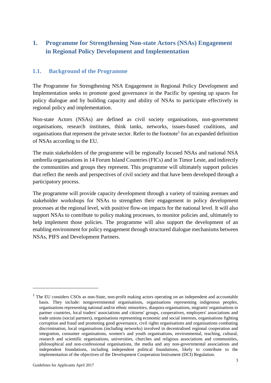# <span id="page-2-0"></span>**1. Programme for Strengthening Non-state Actors (NSAs) Engagement in Regional Policy Development and Implementation**

#### <span id="page-2-1"></span>**1.1. Background of the Programme**

The Programme for Strengthening NSA Engagement in Regional Policy Development and Implementation seeks to promote good governance in the Pacific by opening up spaces for policy dialogue and by building capacity and ability of NSAs to participate effectively in regional policy and implementation.

Non-state Actors (NSAs) are defined as civil society organisations, non-government organisations, research institutes, think tanks, networks, issues-based coalitions, and organisations that represent the private sector. Refer to the footnote<sup>1</sup> for an expanded definition of NSAs according to the EU.

The main stakeholders of the programme will be regionally focused NSAs and national NSA umbrella organisations in 14 Forum Island Countries (FICs) and in Timor Leste, and indirectly the communities and groups they represent. This programme will ultimately support policies that reflect the needs and perspectives of civil society and that have been developed through a participatory process.

The programme will provide capacity development through a variety of training avenues and stakeholder workshops for NSAs to strengthen their engagement in policy development processes at the regional level, with positive flow-on impacts for the national level. It will also support NSAs to contribute to policy making processes, to monitor policies and, ultimately to help implement those policies. The programme will also support the development of an enabling environment for policy engagement through structured dialogue mechanisms between NSAs, PIFS and Development Partners.

**.** 

 $<sup>1</sup>$  The EU considers CSOs as non-State, non-profit making actors operating on an independent and accountable</sup> basis. They include: nongovernmental organisations, organisations representing indigenous peoples, organisations representing national and/or ethnic minorities, diaspora organisations, migrants' organisations in partner countries, local traders' associations and citizens' groups, cooperatives, employers' associations and trade unions (social partners), organisations representing economic and social interests, organisations fighting corruption and fraud and promoting good governance, civil rights organisations and organisations combating discrimination, local organisations (including networks) involved in decentralised regional cooperation and integration, consumer organisations, women's and youth organisations, environmental, teaching, cultural, research and scientific organisations, universities, churches and religious associations and communities, philosophical and non-confessional organisations, the media and any non-governmental associations and independent foundations, including independent political foundations, likely to contribute to the implementation of the objectives of the Development Cooperation Instrument (DCI) Regulation.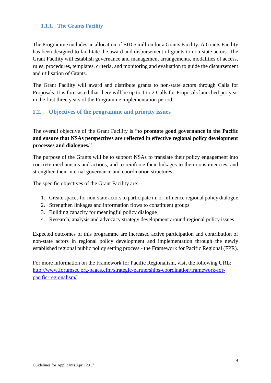#### <span id="page-3-0"></span>**1.1.1. The Grants Facility**

The Programme includes an allocation of FJD 5 million for a Grants Facility. A Grants Facility has been designed to facilitate the award and disbursement of grants to non-state actors. The Grant Facility will establish governance and management arrangements, modalities of access, rules, procedures, templates, criteria, and monitoring and evaluation to guide the disbursement and utilisation of Grants.

The Grant Facility will award and distribute grants to non-state actors through Calls for Proposals. It is forecasted that there will be up to 1 to 2 Calls for Proposals launched per year in the first three years of the Programme implementation period.

#### <span id="page-3-1"></span>**1.2. Objectives of the programme and priority issues**

The overall objective of the Grant Facility is "**to promote good governance in the Pacific and ensure that NSAs perspectives are reflected in effective regional policy development processes and dialogues.**"

The purpose of the Grants will be to support NSAs to translate their policy engagement into concrete mechanisms and actions, and to reinforce their linkages to their constituencies, and strengthen their internal governance and coordination structures.

The specific objectives of the Grant Facility are:

- 1. Create spaces for non-state actors to participate in, or influence regional policy dialogue
- 2. Strengthen linkages and information flows to constituent groups
- 3. Building capacity for meaningful policy dialogue
- 4. Research, analysis and advocacy strategy development around regional policy issues

Expected outcomes of this programme are increased active participation and contribution of non-state actors in regional policy development and implementation through the newly established regional public policy setting process - the Framework for Pacific Regional (FPR).

For more information on the Framework for Pacific Regionalism, visit the following URL: [http://www.forumsec.org/pages.cfm/strategic-partnerships-coordination/framework-for](http://www.forumsec.org/pages.cfm/strategic-partnerships-coordination/framework-for-pacific-regionalism/)[pacific-regionalism/](http://www.forumsec.org/pages.cfm/strategic-partnerships-coordination/framework-for-pacific-regionalism/)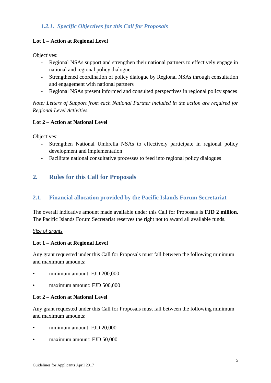# <span id="page-4-0"></span>*1.2.1. Specific Objectives for this Call for Proposals*

#### **Lot 1 – Action at Regional Level**

Objectives:

- Regional NSAs support and strengthen their national partners to effectively engage in national and regional policy dialogue
- Strengthened coordination of policy dialogue by Regional NSAs through consultation and engagement with national partners
- Regional NSAs present informed and consulted perspectives in regional policy spaces

*Note: Letters of Support from each National Partner included in the action are required for Regional Level Activities.*

#### **Lot 2 – Action at National Level**

Objectives:

- Strengthen National Umbrella NSAs to effectively participate in regional policy development and implementation
- Facilitate national consultative processes to feed into regional policy dialogues

# <span id="page-4-1"></span>**2. Rules for this Call for Proposals**

#### <span id="page-4-2"></span>**2.1. Financial allocation provided by the Pacific Islands Forum Secretariat**

The overall indicative amount made available under this Call for Proposals is **FJD 2 million**. The Pacific Islands Forum Secretariat reserves the right not to award all available funds.

#### *Size of grants*

#### **Lot 1 – Action at Regional Level**

Any grant requested under this Call for Proposals must fall between the following minimum and maximum amounts:

- minimum amount: FJD 200,000
- maximum amount: FJD 500,000

#### **Lot 2 – Action at National Level**

Any grant requested under this Call for Proposals must fall between the following minimum and maximum amounts:

- minimum amount: FJD 20,000
- maximum amount: FJD 50,000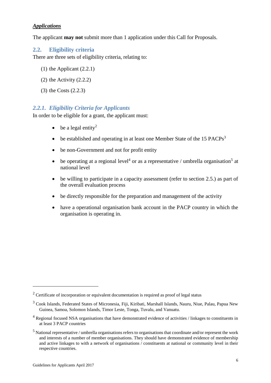#### *Applications*

The applicant **may not** submit more than 1 application under this Call for Proposals.

#### <span id="page-5-0"></span>**2.2. Eligibility criteria**

There are three sets of eligibility criteria, relating to:

- (1) the Applicant (2.2.1)
- (2) the Activity (2.2.2)
- (3) the Costs (2.2.3)

#### <span id="page-5-1"></span>*2.2.1. Eligibility Criteria for Applicants*

In order to be eligible for a grant, the applicant must:

- $\bullet$  be a legal entity<sup>2</sup>
- $\bullet$  be established and operating in at least one Member State of the 15 PACPs<sup>3</sup>
- be non-Government and not for profit entity
- be operating at a regional level<sup>4</sup> or as a representative / umbrella organisation<sup>5</sup> at national level
- be willing to participate in a capacity assessment (refer to section 2.5.) as part of the overall evaluation process
- be directly responsible for the preparation and management of the activity
- have a operational organisation bank account in the PACP country in which the organisation is operating in.

 $\overline{a}$ 

 $2$  Certificate of incorporation or equivalent documentation is required as proof of legal status

<sup>3</sup> Cook Islands, Federated States of Micronesia, Fiji, Kiribati, Marshall Islands, Nauru, Niue, Palau, Papua New Guinea, Samoa, Solomon Islands, Timor Leste, Tonga, Tuvalu, and Vanuatu.

<sup>&</sup>lt;sup>4</sup> Regional focused NSA organisations that have demonstrated evidence of activities / linkages to constituents in at least 3 PACP countries

<sup>5</sup> National representative / umbrella organisations refers to organisations that coordinate and/or represent the work and interests of a number of member organisations. They should have demonstrated evidence of membership and active linkages to with a network of organisations / constituents at national or community level in their respective countries.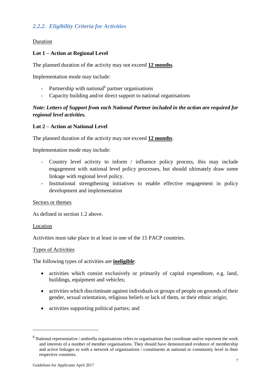#### <span id="page-6-0"></span>*2.2.2. Eligibility Criteria for Activities*

#### Duration

#### **Lot 1 – Action at Regional Level**

The planned duration of the activity may not exceed **12 months**.

Implementation mode may include:

- Partnership with national<sup>6</sup> partner organisations
- Capacity building and/or direct support to national organisations

#### *Note: Letters of Support from each National Partner included in the action are required for regional level activities.*

#### **Lot 2 – Action at National Level**

The planned duration of the activity may not exceed **12 months**.

Implementation mode may include:

- Country level activity to inform / influence policy process, this may include engagement with national level policy processes, but should ultimately draw some linkage with regional level policy.
- Institutional strengthening initiatives to enable effective engagement in policy development and implementation

#### Sectors or themes

As defined in section 1.2 above.

#### **Location**

1

Activities must take place in at least in one of the 15 PACP countries.

#### Types of Activities

The following types of activities are **ineligible**:

- activities which consist exclusively or primarily of capital expenditure, e.g. land, buildings, equipment and vehicles;
- activities which discriminate against individuals or groups of people on grounds of their gender, sexual orientation, religious beliefs or lack of them, or their ethnic origin;
- activities supporting political parties; and

<sup>6</sup> National representative / umbrella organisations refers to organisations that coordinate and/or represent the work and interests of a number of member organisations. They should have demonstrated evidence of membership and active linkages to with a network of organisations / constituents at national or community level in their respective countries.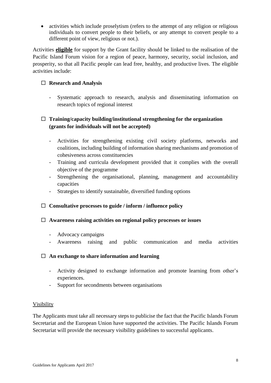• activities which include proselytism (refers to the attempt of any religion or religious individuals to convert people to their beliefs, or any attempt to convert people to a different point of view, religious or not.).

Activities **eligible** for support by the Grant facility should be linked to the realisation of the Pacific Island Forum vision for a region of peace, harmony, security, social inclusion, and prosperity, so that all Pacific people can lead free, healthy, and productive lives. The eligible activities include:

#### **Research and Analysis**

- Systematic approach to research, analysis and disseminating information on research topics of regional interest

#### **Training/capacity building/institutional strengthening for the organization (grants for individuals will not be accepted)**

- Activities for strengthening existing civil society platforms, networks and coalitions, including building of information sharing mechanisms and promotion of cohesiveness across constituencies
- Training and curricula development provided that it complies with the overall objective of the programme
- Strengthening the organisational, planning, management and accountability capacities
- Strategies to identify sustainable, diversified funding options

#### **Consultative processes to guide / inform / influence policy**

#### **Awareness raising activities on regional policy processes or issues**

- Advocacy campaigns
- Awareness raising and public communication and media activities

#### **An exchange to share information and learning**

- Activity designed to exchange information and promote learning from other's experiences.
- Support for secondments between organisations

#### Visibility

The Applicants must take all necessary steps to publicise the fact that the Pacific Islands Forum Secretariat and the European Union have supported the activities. The Pacific Islands Forum Secretariat will provide the necessary visibility guidelines to successful applicants.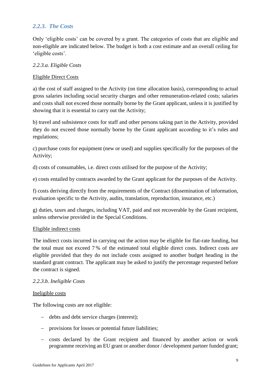#### <span id="page-8-0"></span>*2.2.3. The Costs*

Only 'eligible costs' can be covered by a grant. The categories of costs that are eligible and non-eligible are indicated below. The budget is both a cost estimate and an overall ceiling for 'eligible costs'.

#### *2.2.3.a. Eligible Costs*

#### Eligible Direct Costs

a) the cost of staff assigned to the Activity (on time allocation basis), corresponding to actual gross salaries including social security charges and other remuneration-related costs; salaries and costs shall not exceed those normally borne by the Grant applicant, unless it is justified by showing that it is essential to carry out the Activity;

b) travel and subsistence costs for staff and other persons taking part in the Activity, provided they do not exceed those normally borne by the Grant applicant according to it's rules and regulations;

c) purchase costs for equipment (new or used) and supplies specifically for the purposes of the Activity;

d) costs of consumables, i.e. direct costs utilised for the purpose of the Activity;

e) costs entailed by contracts awarded by the Grant applicant for the purposes of the Activity.

f) costs deriving directly from the requirements of the Contract (dissemination of information, evaluation specific to the Activity, audits, translation, reproduction, insurance, etc.)

g) duties, taxes and charges, including VAT, paid and not recoverable by the Grant recipient, unless otherwise provided in the Special Conditions.

#### Eligible indirect costs

The indirect costs incurred in carrying out the action may be eligible for flat-rate funding, but the total must not exceed 7 % of the estimated total eligible direct costs. Indirect costs are eligible provided that they do not include costs assigned to another budget heading in the standard grant contract. The applicant may be asked to justify the percentage requested before the contract is signed.

#### *2.2.3.b. Ineligible Costs*

#### Ineligible costs

The following costs are not eligible:

- debts and debt service charges (interest);
- provisions for losses or potential future liabilities;
- costs declared by the Grant recipient and financed by another action or work programme receiving an EU grant or another donor / development partner funded grant;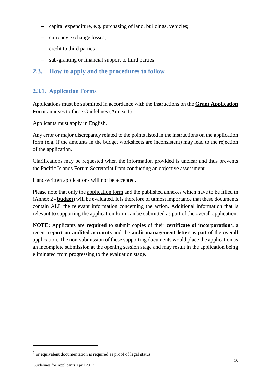- capital expenditure, e.g. purchasing of land, buildings, vehicles;
- currency exchange losses;
- $\overline{-}$  credit to third parties
- sub-granting or financial support to third parties

# <span id="page-9-0"></span>**2.3. How to apply and the procedures to follow**

#### <span id="page-9-1"></span>**2.3.1. Application Forms**

Applications must be submitted in accordance with the instructions on the **Grant Application Form** annexes to these Guidelines (Annex 1)

Applicants must apply in English.

Any error or major discrepancy related to the points listed in the instructions on the application form (e.g. if the amounts in the budget worksheets are inconsistent) may lead to the rejection of the application.

Clarifications may be requested when the information provided is unclear and thus prevents the Pacific Islands Forum Secretariat from conducting an objective assessment.

Hand-written applications will not be accepted.

Please note that only the application form and the published annexes which have to be filled in (Annex 2 - **budget**) will be evaluated. It is therefore of utmost importance that these documents contain ALL the relevant information concerning the action. Additional information that is relevant to supporting the application form can be submitted as part of the overall application.

**NOTE:** Applicants are **required** to submit copies of their **certificate of incorporation<sup>7</sup> ,** a recent **report on audited accounts** and the **audit management letter** as part of the overall application. The non-submission of these supporting documents would place the application as an incomplete submission at the opening session stage and may result in the application being eliminated from progressing to the evaluation stage.

1

 $<sup>7</sup>$  or equivalent documentation is required as proof of legal status</sup>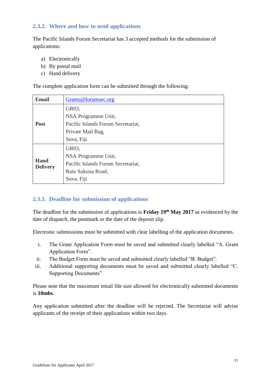#### <span id="page-10-0"></span>**2.3.2. Where and how to send applications**

The Pacific Islands Forum Secretariat has 3 accepted methods for the submission of applications:

- a) Electronically
- b) By postal mail
- c) Hand delivery

The complete application form can be submitted through the following:

| <b>Email</b>    | Grants@forumsec.org                |
|-----------------|------------------------------------|
|                 | GR03,                              |
|                 | NSA Programme Unit,                |
| <b>Post</b>     | Pacific Islands Forum Secretariat, |
|                 | Private Mail Bag,                  |
|                 | Suva, Fiji                         |
|                 | GR03,                              |
|                 | NSA Programme Unit,                |
| Hand            | Pacific Islands Forum Secretariat, |
| <b>Delivery</b> | Ratu Sukuna Road,                  |
|                 | Suva, Fiji                         |

#### <span id="page-10-1"></span>**2.3.3. Deadline for submission of applications**

The deadline for the submission of applications is **Friday 19th May 2017** as evidenced by the date of dispatch, the postmark or the date of the deposit slip.

Electronic submissions must be submitted with clear labelling of the application documents.

- i. The Grant Application Form must be saved and submitted clearly labelled "A. Grant Application Form".
- ii. The Budget Form must be saved and submitted clearly labelled "B. Budget".
- iii. Additional supporting documents must be saved and submitted clearly labelled "C. Supporting Documents"

Please note that the maximum email file size allowed for electronically submitted documents is **10mbs**.

Any application submitted after the deadline will be rejected. The Secretariat will advise applicants of the receipt of their applications within two days.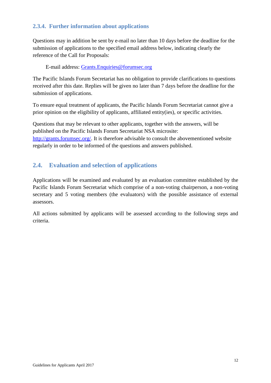# <span id="page-11-0"></span>**2.3.4. Further information about applications**

Questions may in addition be sent by e-mail no later than 10 days before the deadline for the submission of applications to the specified email address below, indicating clearly the reference of the Call for Proposals:

E-mail address: [Grants.Enquiries@forumsec.org](mailto:Grants.Enquiries@forumsec.org)

The Pacific Islands Forum Secretariat has no obligation to provide clarifications to questions received after this date. Replies will be given no later than 7 days before the deadline for the submission of applications.

To ensure equal treatment of applicants, the Pacific Islands Forum Secretariat cannot give a prior opinion on the eligibility of applicants, affiliated entity(ies), or specific activities.

Questions that may be relevant to other applicants, together with the answers, will be published on the Pacific Islands Forum Secretariat NSA microsite: [http://grants.forumsec.org/.](http://grants.forumsec.org/) It is therefore advisable to consult the abovementioned website regularly in order to be informed of the questions and answers published.

# <span id="page-11-1"></span>**2.4. Evaluation and selection of applications**

Applications will be examined and evaluated by an evaluation committee established by the Pacific Islands Forum Secretariat which comprise of a non-voting chairperson, a non-voting secretary and 5 voting members (the evaluators) with the possible assistance of external assessors.

All actions submitted by applicants will be assessed according to the following steps and criteria.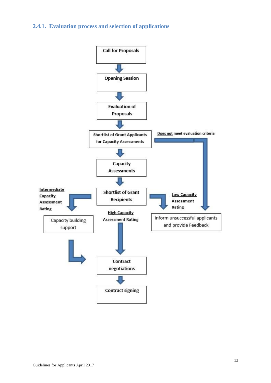#### <span id="page-12-0"></span>**2.4.1. Evaluation process and selection of applications**

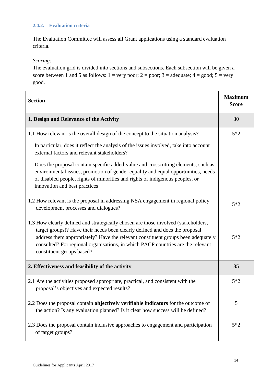#### <span id="page-13-0"></span>**2.4.2. Evaluation criteria**

The Evaluation Committee will assess all Grant applications using a standard evaluation criteria.

#### *Scoring:*

The evaluation grid is divided into sections and subsections. Each subsection will be given a score between 1 and 5 as follows:  $1 = \text{very poor}$ ;  $2 = \text{poor}$ ;  $3 = \text{adequate}$ ;  $4 = \text{good}$ ;  $5 = \text{very}$ good.

| <b>Section</b>                                                                                                                                                                                                                                                                                                                                                        |       |  |
|-----------------------------------------------------------------------------------------------------------------------------------------------------------------------------------------------------------------------------------------------------------------------------------------------------------------------------------------------------------------------|-------|--|
| 1. Design and Relevance of the Activity                                                                                                                                                                                                                                                                                                                               | 30    |  |
| 1.1 How relevant is the overall design of the concept to the situation analysis?                                                                                                                                                                                                                                                                                      | $5*2$ |  |
| In particular, does it reflect the analysis of the issues involved, take into account<br>external factors and relevant stakeholders?                                                                                                                                                                                                                                  |       |  |
| Does the proposal contain specific added-value and crosscutting elements, such as<br>environmental issues, promotion of gender equality and equal opportunities, needs<br>of disabled people, rights of minorities and rights of indigenous peoples, or<br>innovation and best practices                                                                              |       |  |
| 1.2 How relevant is the proposal in addressing NSA engagement in regional policy<br>development processes and dialogues?                                                                                                                                                                                                                                              | $5*2$ |  |
| 1.3 How clearly defined and strategically chosen are those involved (stakeholders,<br>target groups)? Have their needs been clearly defined and does the proposal<br>address them appropriately? Have the relevant constituent groups been adequately<br>consulted? For regional organisations, in which PACP countries are the relevant<br>constituent groups based? | $5*2$ |  |
| 2. Effectiveness and feasibility of the activity                                                                                                                                                                                                                                                                                                                      | 35    |  |
| 2.1 Are the activities proposed appropriate, practical, and consistent with the<br>proposal's objectives and expected results?                                                                                                                                                                                                                                        | $5*2$ |  |
| 2.2 Does the proposal contain objectively verifiable indicators for the outcome of<br>the action? Is any evaluation planned? Is it clear how success will be defined?                                                                                                                                                                                                 | 5     |  |
| 2.3 Does the proposal contain inclusive approaches to engagement and participation<br>of target groups?                                                                                                                                                                                                                                                               | $5*2$ |  |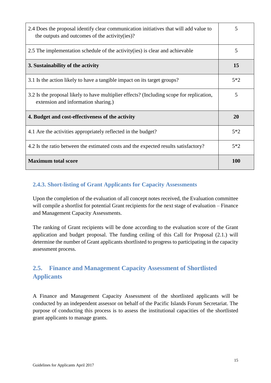| 2.4 Does the proposal identify clear communication initiatives that will add value to<br>the outputs and outcomes of the activity (ies)? | 5          |
|------------------------------------------------------------------------------------------------------------------------------------------|------------|
| 2.5 The implementation schedule of the activity (ies) is clear and achievable                                                            | 5          |
| 3. Sustainability of the activity                                                                                                        | 15         |
| 3.1 Is the action likely to have a tangible impact on its target groups?                                                                 | $5*2$      |
| 3.2 Is the proposal likely to have multiplier effects? (Including scope for replication,<br>extension and information sharing.)          | 5          |
| 4. Budget and cost-effectiveness of the activity                                                                                         | 20         |
| 4.1 Are the activities appropriately reflected in the budget?                                                                            | $5*2$      |
| 4.2 Is the ratio between the estimated costs and the expected results satisfactory?                                                      | $5*2$      |
| <b>Maximum total score</b>                                                                                                               | <b>100</b> |

# <span id="page-14-0"></span>**2.4.3. Short-listing of Grant Applicants for Capacity Assessments**

Upon the completion of the evaluation of all concept notes received, the Evaluation committee will compile a shortlist for potential Grant recipients for the next stage of evaluation – Finance and Management Capacity Assessments.

The ranking of Grant recipients will be done according to the evaluation score of the Grant application and budget proposal. The funding ceiling of this Call for Proposal (2.1.) will determine the number of Grant applicants shortlisted to progress to participating in the capacity assessment process.

# <span id="page-14-1"></span>**2.5. Finance and Management Capacity Assessment of Shortlisted Applicants**

A Finance and Management Capacity Assessment of the shortlisted applicants will be conducted by an independent assessor on behalf of the Pacific Islands Forum Secretariat. The purpose of conducting this process is to assess the institutional capacities of the shortlisted grant applicants to manage grants.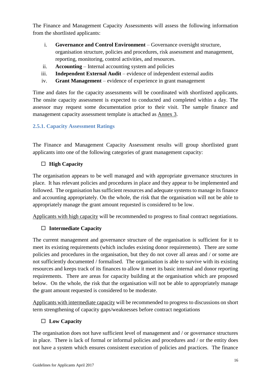The Finance and Management Capacity Assessments will assess the following information from the shortlisted applicants:

- i. **Governance and Control Environment** Governance oversight structure, organisation structure, policies and procedures, risk assessment and management, reporting, monitoring, control activities, and resources.
- ii. **Accounting** Internal accounting system and policies
- iii. **Independent External Audit** evidence of independent external audits
- iv. **Grant Management** evidence of experience in grant management

Time and dates for the capacity assessments will be coordinated with shortlisted applicants. The onsite capacity assessment is expected to conducted and completed within a day. The assessor may request some documentation prior to their visit. The sample finance and management capacity assessment template is attached as Annex 3.

# <span id="page-15-0"></span>**2.5.1. Capacity Assessment Ratings**

The Finance and Management Capacity Assessment results will group shortlisted grant applicants into one of the following categories of grant management capacity:

# **High Capacity**

The organisation appears to be well managed and with appropriate governance structures in place. It has relevant policies and procedures in place and they appear to be implemented and followed. The organisation has sufficient resources and adequate systems to manage its finance and accounting appropriately. On the whole, the risk that the organisation will not be able to appropriately manage the grant amount requested is considered to be low.

Applicants with high capacity will be recommended to progress to final contract negotiations.

# **Intermediate Capacity**

The current management and governance structure of the organisation is sufficient for it to meet its existing requirements (which includes existing donor requirements). There are some policies and procedures in the organisation, but they do not cover all areas and / or some are not sufficiently documented / formalised. The organisation is able to survive with its existing resources and keeps track of its finances to allow it meet its basic internal and donor reporting requirements. There are areas for capacity building at the organisation which are proposed below. On the whole, the risk that the organisation will not be able to appropriately manage the grant amount requested is considered to be moderate.

Applicants with intermediate capacity will be recommended to progress to discussions on short term strengthening of capacity gaps/weaknesses before contract negotiations

# **Low Capacity**

The organisation does not have sufficient level of management and / or governance structures in place. There is lack of formal or informal policies and procedures and / or the entity does not have a system which ensures consistent execution of policies and practices. The finance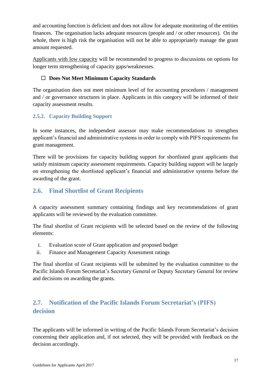and accounting function is deficient and does not allow for adequate monitoring of the entities finances. The organisation lacks adequate resources (people and / or other resources). On the whole, there is high risk the organisation will not be able to appropriately manage the grant amount requested.

Applicants with low capacity will be recommended to progress to discussions on options for longer term strengthening of capacity gaps/weaknesses.

#### **Does Not Meet Minimum Capacity Standards**

The organisation does not meet minimum level of for accounting procedures / management and / or governance structures in place. Applicants in this category will be informed of their capacity assessment results.

# <span id="page-16-0"></span>**2.5.2. Capacity Building Support**

In some instances, the independent assessor may make recommendations to strengthen applicant's financial and administrative systems in order to comply with PIFS requirements for grant management.

There will be provisions for capacity building support for shortlisted grant applicants that satisfy minimum capacity assessment requirements. Capacity building support will be largely on strengthening the shortlisted applicant's financial and administrative systems before the awarding of the grant.

# <span id="page-16-1"></span>**2.6. Final Shortlist of Grant Recipients**

A capacity assessment summary containing findings and key recommendations of grant applicants will be reviewed by the evaluation committee.

The final shortlist of Grant recipients will be selected based on the review of the following elements:

- i. Evaluation score of Grant application and proposed budget
- ii. Finance and Management Capacity Assessment ratings

The final shortlist of Grant recipients will be submitted by the evaluation committee to the Pacific Islands Forum Secretariat's Secretary General or Deputy Secretary General for review and decisions on awarding the grants.

# <span id="page-16-2"></span>**2.7. Notification of the Pacific Islands Forum Secretariat's (PIFS) decision**

The applicants will be informed in writing of the Pacific Islands Forum Secretariat's decision concerning their application and, if not selected, they will be provided with feedback on the decision accordingly.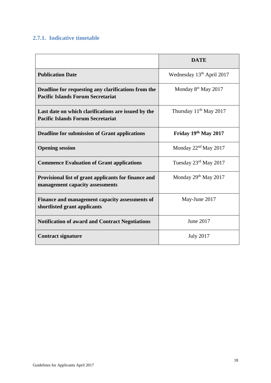#### <span id="page-17-0"></span>**2.7.1. Indicative timetable**

|                                                                                                 | <b>DATE</b>                           |
|-------------------------------------------------------------------------------------------------|---------------------------------------|
| <b>Publication Date</b>                                                                         | Wednesday 13 <sup>th</sup> April 2017 |
| Deadline for requesting any clarifications from the<br><b>Pacific Islands Forum Secretariat</b> | Monday 8 <sup>st</sup> May 2017       |
| Last date on which clarifications are issued by the<br><b>Pacific Islands Forum Secretariat</b> | Thursday $11th$ May 2017              |
| <b>Deadline for submission of Grant applications</b>                                            | Friday 19th May 2017                  |
| <b>Opening session</b>                                                                          | Monday $22nd$ May 2017                |
| <b>Commence Evaluation of Grant applications</b>                                                | Tuesday 23rd May 2017                 |
| Provisional list of grant applicants for finance and<br>management capacity assessments         | Monday 29 <sup>th</sup> May 2017      |
| Finance and management capacity assessments of<br>shortlisted grant applicants                  | May-June 2017                         |
| <b>Notification of award and Contract Negotiations</b>                                          | June 2017                             |
| <b>Contract signature</b>                                                                       | <b>July 2017</b>                      |